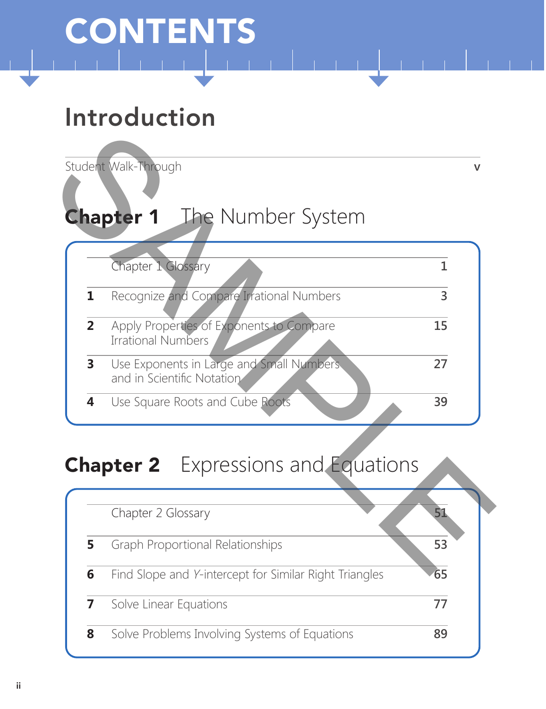# CONTENTS

# Introduction

Student Walk-Through **v**

# Chapter 1 The Number System

|   | Chapter 1 Glossary                                                     |    |
|---|------------------------------------------------------------------------|----|
|   | Recognize and Compare Irrational Numbers                               |    |
| 2 | Apply Properties of Exponents to Compare<br><b>Irrational Numbers</b>  | 15 |
|   | Use Exponents in Large and Small Numbers<br>and in Scientific Notation | フフ |
|   | Use Square Roots and Cube Roots                                        | 39 |

#### **Chapter 2** Expressions and Equations

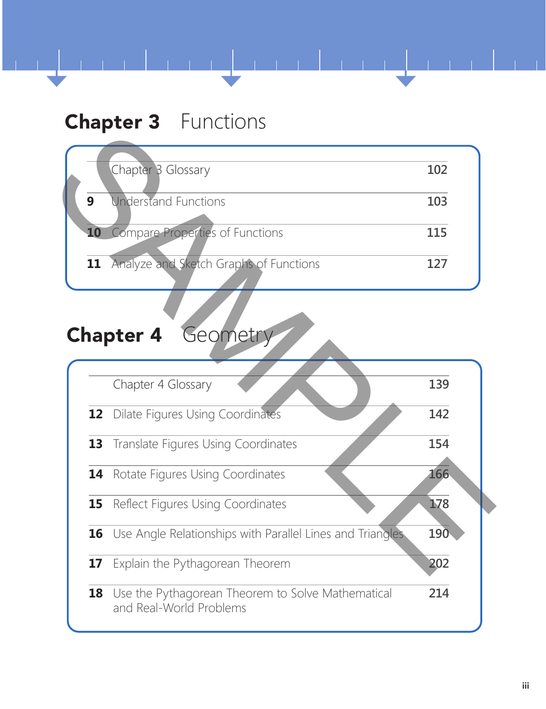#### **Chapter 3** Functions

| 102 |
|-----|
| 103 |
| 115 |
| 127 |
|     |

### Chapter 4 Geometry